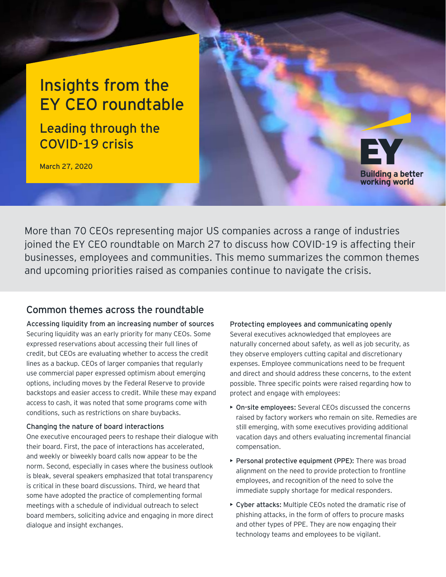# Insights from the EY CEO roundtable

Leading through the COVID-19 crisis

March 27, 2020

**Building a better** working world

More than 70 CEOs representing major US companies across a range of industries joined the EY CEO roundtable on March 27 to discuss how COVID-19 is affecting their businesses, employees and communities. This memo summarizes the common themes and upcoming priorities raised as companies continue to navigate the crisis.

# Common themes across the roundtable

**Accessing liquidity from an increasing number of sources** Securing liquidity was an early priority for many CEOs. Some expressed reservations about accessing their full lines of credit, but CEOs are evaluating whether to access the credit lines as a backup. CEOs of larger companies that regularly use commercial paper expressed optimism about emerging options, including moves by the Federal Reserve to provide backstops and easier access to credit. While these may expand access to cash, it was noted that some programs come with conditions, such as restrictions on share buybacks.

# **Changing the nature of board interactions**

One executive encouraged peers to reshape their dialogue with their board. First, the pace of interactions has accelerated, and weekly or biweekly board calls now appear to be the norm. Second, especially in cases where the business outlook is bleak, several speakers emphasized that total transparency is critical in these board discussions. Third, we heard that some have adopted the practice of complementing formal meetings with a schedule of individual outreach to select board members, soliciting advice and engaging in more direct dialogue and insight exchanges.

**Protecting employees and communicating openly** Several executives acknowledged that employees are naturally concerned about safety, as well as job security, as they observe employers cutting capital and discretionary expenses. Employee communications need to be frequent and direct and should address these concerns, to the extent possible. Three specific points were raised regarding how to protect and engage with employees:

- **• On-site employees:** Several CEOs discussed the concerns raised by factory workers who remain on site. Remedies are still emerging, with some executives providing additional vacation days and others evaluating incremental financial compensation.
- **• Personal protective equipment (PPE):** There was broad alignment on the need to provide protection to frontline employees, and recognition of the need to solve the immediate supply shortage for medical responders.
- **• Cyber attacks:** Multiple CEOs noted the dramatic rise of phishing attacks, in the form of offers to procure masks and other types of PPE. They are now engaging their technology teams and employees to be vigilant.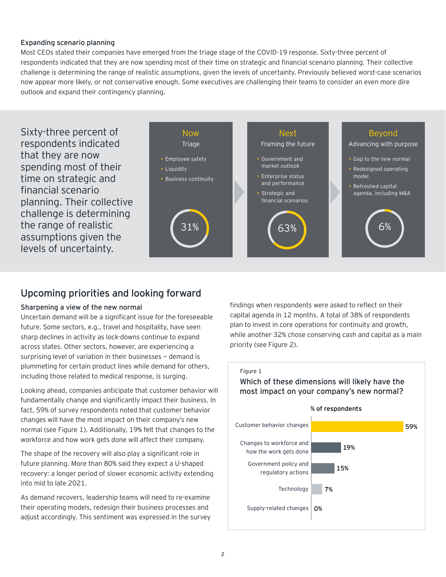### **Expanding scenario planning**

Most CEOs stated their companies have emerged from the triage stage of the COVID-19 response. Sixty-three percent of respondents indicated that they are now spending most of their time on strategic and financial scenario planning. Their collective challenge is determining the range of realistic assumptions, given the levels of uncertainty. Previously believed worst-case scenarios now appear more likely, or not conservative enough. Some executives are challenging their teams to consider an even more dire outlook and expand their contingency planning.





# Upcoming priorities and looking forward

## **Sharpening a view of the new normal**

Uncertain demand will be a significant issue for the foreseeable future. Some sectors, e.g., travel and hospitality, have seen sharp declines in activity as lock-downs continue to expand across states. Other sectors, however, are experiencing a surprising level of variation in their businesses - demand is plummeting for certain product lines while demand for others, including those related to medical response, is surging.

Looking ahead, companies anticipate that customer behavior will fundamentally change and significantly impact their business. In fact, 59% of survey respondents noted that customer behavior changes will have the most impact on their company's new normal (see Figure 1). Additionally, 19% felt that changes to the workforce and how work gets done will affect their company.

The shape of the recovery will also play a significant role in future planning. More than 80% said they expect a U-shaped recovery: a longer period of slower economic activity extending into mid to late 2021.

As demand recovers, leadership teams will need to re-examine their operating models, redesign their business processes and adjust accordingly. This sentiment was expressed in the survey findings when respondents were asked to reflect on their capital agenda in 12 months. A total of 38% of respondents plan to invest in core operations for continuity and growth, while another 32% chose conserving cash and capital as a main priority (see Figure 2).



Figure 1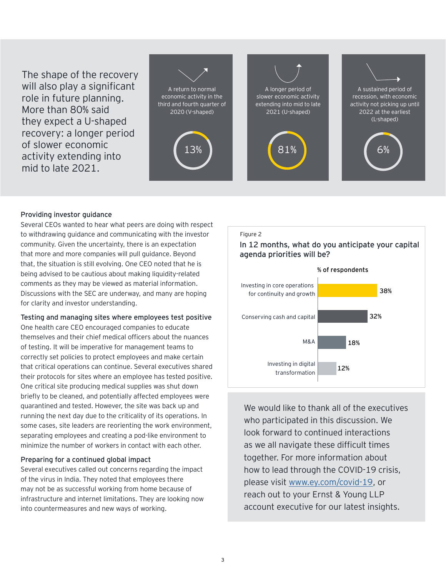The shape of the recovery will also play a significant role in future planning. More than 80% said they expect a U-shaped recovery: a longer period of slower economic activity extending into mid to late 2021.



#### **Providing investor guidance**

Several CEOs wanted to hear what peers are doing with respect to withdrawing guidance and communicating with the investor community. Given the uncertainty, there is an expectation that more and more companies will pull guidance. Beyond that, the situation is still evolving. One CEO noted that he is being advised to be cautious about making liquidity-related comments as they may be viewed as material information. Discussions with the SEC are underway, and many are hoping for clarity and investor understanding.

#### **Testing and managing sites where employees test positive**

One health care CEO encouraged companies to educate themselves and their chief medical officers about the nuances of testing. It will be imperative for management teams to correctly set policies to protect employees and make certain that critical operations can continue. Several executives shared their protocols for sites where an employee has tested positive. One critical site producing medical supplies was shut down briefly to be cleaned, and potentially affected employees were quarantined and tested. However, the site was back up and running the next day due to the criticality of its operations. In some cases, site leaders are reorienting the work environment, separating employees and creating a pod-like environment to minimize the number of workers in contact with each other.

#### **Preparing for a continued global impact**

Several executives called out concerns regarding the impact of the virus in India. They noted that employees there may not be as successful working from home because of infrastructure and internet limitations. They are looking now into countermeasures and new ways of working.

#### Figure 2

In 12 months, what do you anticipate your capital agenda priorities will be?



We would like to thank all of the executives who participated in this discussion. We look forward to continued interactions as we all navigate these difficult times together. For more information about how to lead through the COVID-19 crisis, please visit [www.ey.com/covid-19,](http://www.ey.com/covid-19) or reach out to your Ernst & Young LLP account executive for our latest insights.